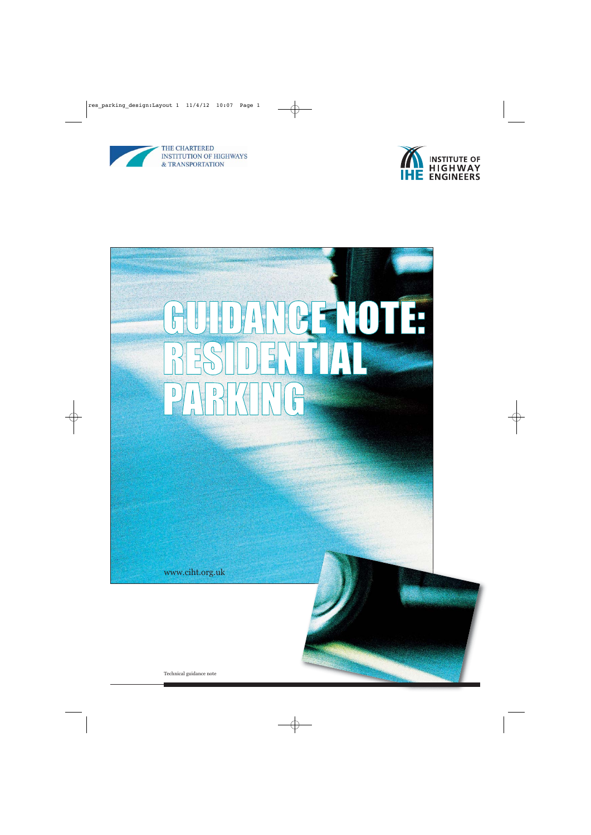



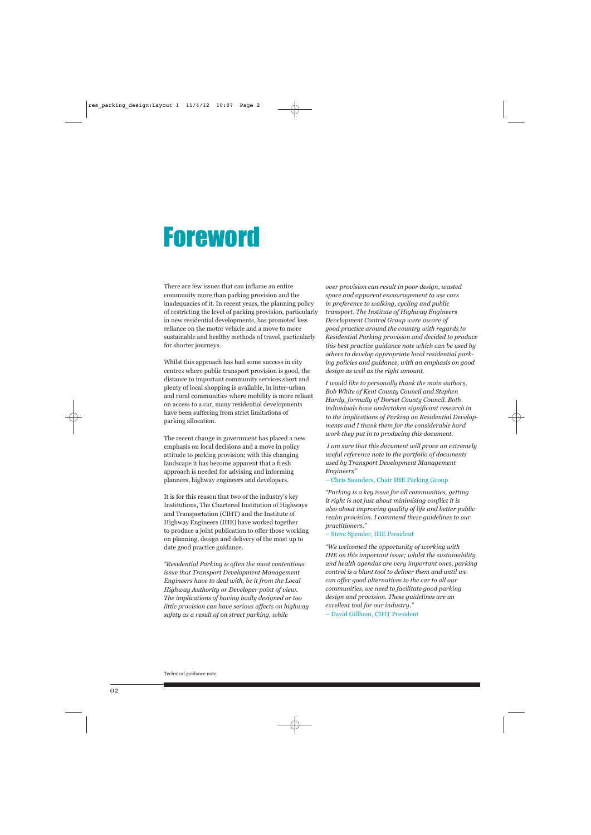# **Foreword**

There are few issues that can inflame an entire community more than parking provision and the inadequacies of it. In recent years, the planning policy of restricting the level of parking provision, particularly in new residential developments, has promoted less reliance on the motor vehicle and a move to more sustainable and healthy methods of travel, particularly for shorter journeys.

Whilst this approach has had some success in city centres where public transport provision is good, the distance to important community services short and plenty of local shopping is available, in inter-urban and rural communities where mobility is more reliant on access to a car, many residential developments have been suffering from strict limitations of parking allocation.

The recent change in government has placed a new emphasis on local decisions and a move in policy attitude to parking provision; with this changing landscape it has become apparent that a fresh approach is needed for advising and informing planners, highway engineers and developers.

It is for this reason that two of the industry's key Institutions, The Chartered Institution of Highways and Transportation (CIHT) and the Institute of Highway Engineers (IHE) have worked together to produce a joint publication to offer those working on planning, design and delivery of the most up to date good practice guidance.

*"Residential Parking is often the most contentious issue that Transport Development Management Engineers have to deal with, be it from the Local Highway Authority or Developer point of view. The implications of having badly designed or too little provision can have serious affects on highway safety as a result of on street parking, while* 

*over provision can result in poor design, wasted space and apparent encouragement to use cars in preference to walking, cycling and public transport. The Institute of Highway Engineers Development Control Group were aware of good practice around the country with regards to Residential Parking provision and decided to produce this best practice guidance note which can be used by others to develop appropriate local residential parking policies and guidance, with an emphasis on good design as well as the right amount.*

*I would like to personally thank the main authors, Bob White of Kent County Council and Stephen Hardy, formally of Dorset County Council. Both individuals have undertaken significant research in to the implications of Parking on Residential Developments and I thank them for the considerable hard work they put in to producing this document.*

*I am sure that this document will prove an extremely useful reference note to the portfolio of documents used by Transport Development Management Engineers"* 

### – Chris Saunders, Chair IHE Parking Group

*"Parking is a key issue for all communities, getting it right is not just about minimising conflict it is also about improving quality of life and better public realm provision. I commend these guidelines to our practitioners."*

### – Steve Spender, IHE President

*"We welcomed the opportunity of working with IHE on this important issue; whilst the sustainability and health agendas are very important ones, parking control is a blunt tool to deliver them and until we can offer good alternatives to the car to all our communities, we need to facilitate good parking design and provision. These guidelines are an excellent tool for our industry."* 

– David Gillham, CIHT President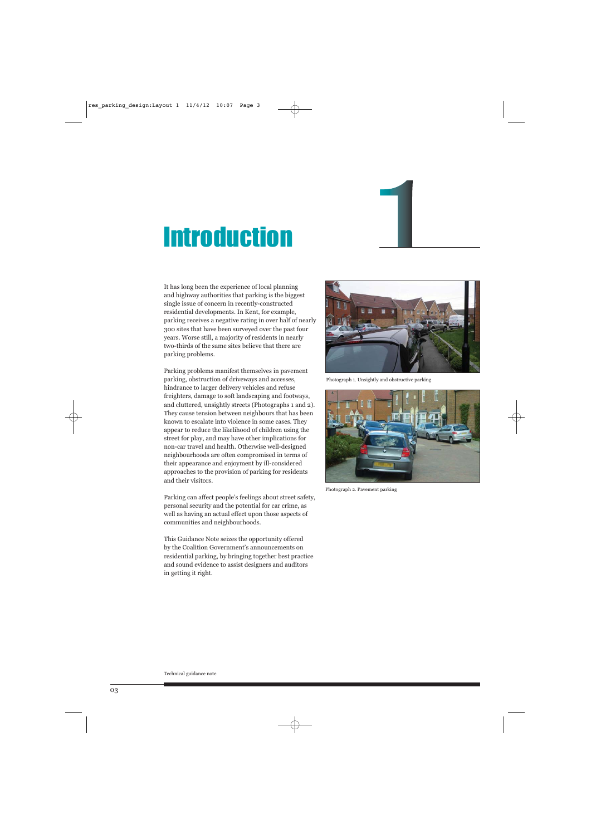# **Introduction**

It has long been the experience of local planning and highway authorities that parking is the biggest single issue of concern in recently-constructed residential developments. In Kent, for example, parking receives a negative rating in over half of nearly 300 sites that have been surveyed over the past four years. Worse still, a majority of residents in nearly two-thirds of the same sites believe that there are parking problems.

Parking problems manifest themselves in pavement parking, obstruction of driveways and accesses, hindrance to larger delivery vehicles and refuse freighters, damage to soft landscaping and footways, and cluttered, unsightly streets (Photographs 1 and 2). They cause tension between neighbours that has been known to escalate into violence in some cases. They appear to reduce the likelihood of children using the street for play, and may have other implications for non-car travel and health. Otherwise well-designed neighbourhoods are often compromised in terms of their appearance and enjoyment by ill-considered approaches to the provision of parking for residents and their visitors.

Parking can affect people's feelings about street safety, personal security and the potential for car crime, as well as having an actual effect upon those aspects of communities and neighbourhoods.

This Guidance Note seizes the opportunity offered by the Coalition Government's announcements on residential parking, by bringing together best practice and sound evidence to assist designers and auditors in getting it right.



Photograph 1. Unsightly and obstructive parking



Photograph 2. Pavement parking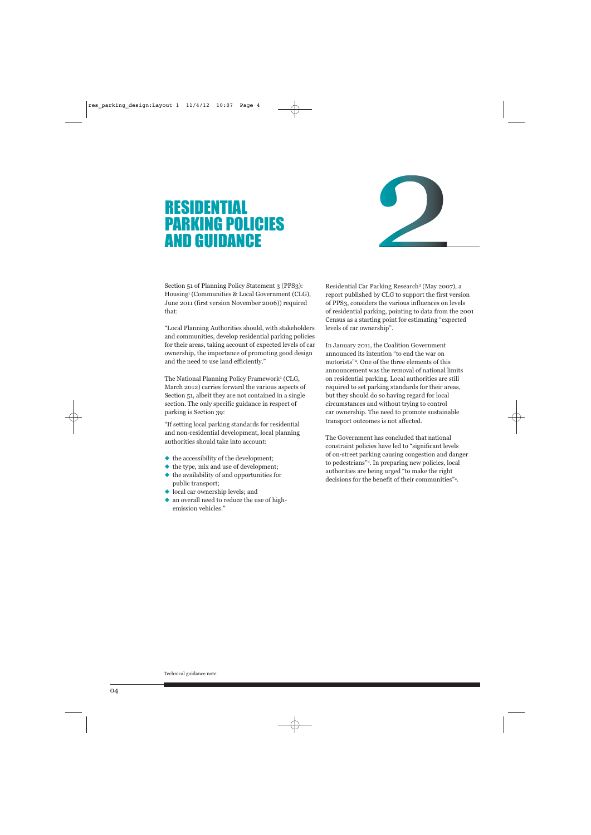## RESIDENTIAL PARKING POLICIES AND GUIDANCE



Section 51 of Planning Policy Statement 3 (PPS3): Housing1 (Communities & Local Government (CLG), June 2011 (first version November 2006)) required that:

"Local Planning Authorities should, with stakeholders and communities, develop residential parking policies for their areas, taking account of expected levels of car ownership, the importance of promoting good design and the need to use land efficiently."

The National Planning Policy Framework<sup>2</sup> (CLG, March 2012) carries forward the various aspects of Section 51, albeit they are not contained in a single section. The only specific guidance in respect of parking is Section 39:

"If setting local parking standards for residential and non-residential development, local planning authorities should take into account:

- ◆ the accessibility of the development;
- ◆ the type, mix and use of development:
- ◆ the availability of and opportunities for public transport;
- ◆ local car ownership levels; and
- ◆ an overall need to reduce the use of highemission vehicles."

Residential Car Parking Research3 (May 2007), a report published by CLG to support the first version of PPS3, considers the various influences on levels of residential parking, pointing to data from the 2001 Census as a starting point for estimating "expected levels of car ownership".

In January 2011, the Coalition Government announced its intention "to end the war on motorists"4. One of the three elements of this announcement was the removal of national limits on residential parking. Local authorities are still required to set parking standards for their areas, but they should do so having regard for local circumstances and without trying to control car ownership. The need to promote sustainable transport outcomes is not affected.

The Government has concluded that national constraint policies have led to "significant levels of on-street parking causing congestion and danger to pedestrians"4. In preparing new policies, local authorities are being urged "to make the right decisions for the benefit of their communities"4.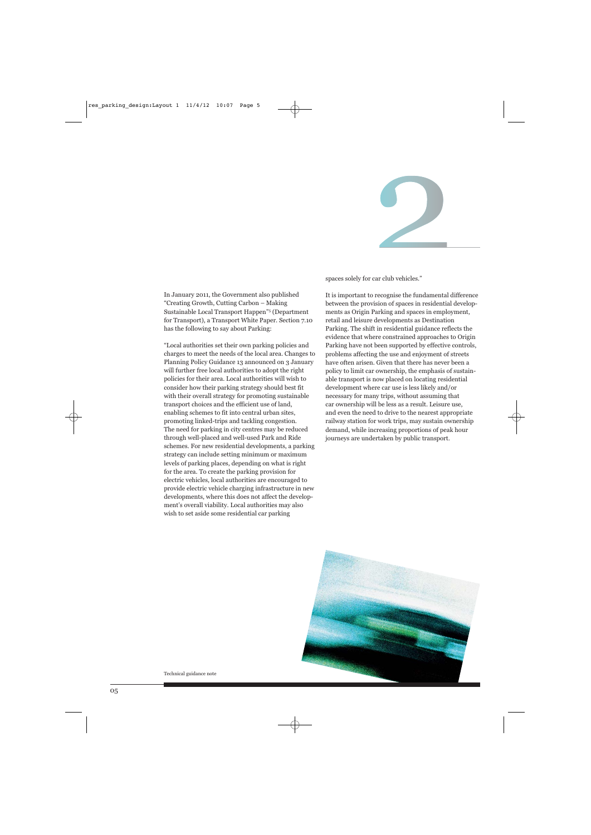

spaces solely for car club vehicles."

In January 2011, the Government also published "Creating Growth, Cutting Carbon – Making Sustainable Local Transport Happen"5 (Department for Transport), a Transport White Paper. Section 7.10 has the following to say about Parking:

"Local authorities set their own parking policies and charges to meet the needs of the local area. Changes to Planning Policy Guidance 13 announced on 3 January will further free local authorities to adopt the right policies for their area. Local authorities will wish to consider how their parking strategy should best fit with their overall strategy for promoting sustainable transport choices and the efficient use of land, enabling schemes to fit into central urban sites, promoting linked-trips and tackling congestion. The need for parking in city centres may be reduced through well-placed and well-used Park and Ride schemes. For new residential developments, a parking strategy can include setting minimum or maximum levels of parking places, depending on what is right for the area. To create the parking provision for electric vehicles, local authorities are encouraged to provide electric vehicle charging infrastructure in new developments, where this does not affect the development's overall viability. Local authorities may also wish to set aside some residential car parking

It is important to recognise the fundamental difference between the provision of spaces in residential developments as Origin Parking and spaces in employment, retail and leisure developments as Destination Parking. The shift in residential guidance reflects the evidence that where constrained approaches to Origin Parking have not been supported by effective controls, problems affecting the use and enjoyment of streets have often arisen. Given that there has never been a policy to limit car ownership, the emphasis of sustainable transport is now placed on locating residential development where car use is less likely and/or necessary for many trips, without assuming that car ownership will be less as a result. Leisure use, and even the need to drive to the nearest appropriate railway station for work trips, may sustain ownership demand, while increasing proportions of peak hour journeys are undertaken by public transport.

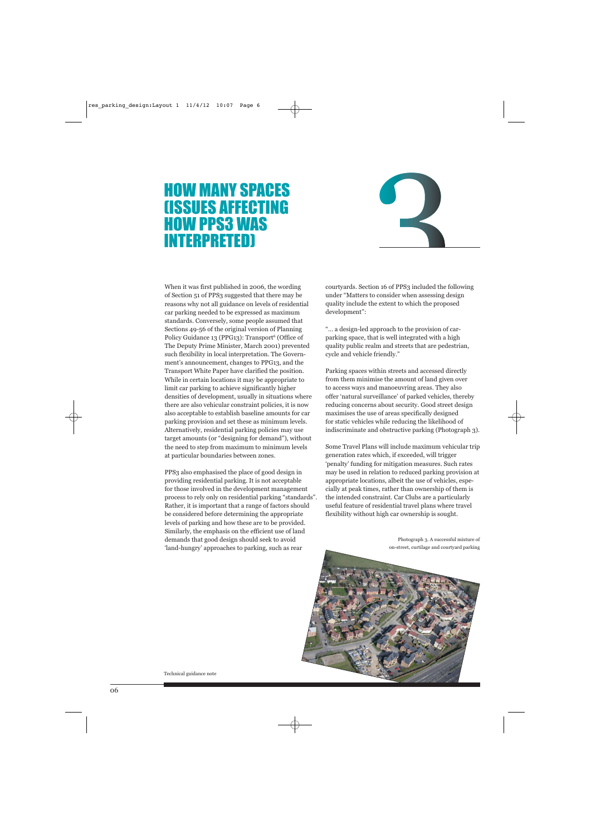## HOW MANY SPACES (ISSUES AFFECTING HOW PPS3 WAS INTERPRETED)



When it was first published in 2006, the wording of Section 51 of PPS3 suggested that there may be reasons why not all guidance on levels of residential car parking needed to be expressed as maximum standards. Conversely, some people assumed that Sections 49-56 of the original version of Planning Policy Guidance 13 (PPG13): Transport<sup>6</sup> (Office of The Deputy Prime Minister, March 2001) prevented such flexibility in local interpretation. The Government's announcement, changes to PPG13, and the Transport White Paper have clarified the position. While in certain locations it may be appropriate to limit car parking to achieve significantly higher densities of development, usually in situations where there are also vehicular constraint policies, it is now also acceptable to establish baseline amounts for car parking provision and set these as minimum levels. Alternatively, residential parking policies may use target amounts (or "designing for demand"), without the need to step from maximum to minimum levels at particular boundaries between zones.

PPS3 also emphasised the place of good design in providing residential parking. It is not acceptable for those involved in the development management process to rely only on residential parking "standards". Rather, it is important that a range of factors should be considered before determining the appropriate levels of parking and how these are to be provided. Similarly, the emphasis on the efficient use of land demands that good design should seek to avoid 'land-hungry' approaches to parking, such as rear

courtyards. Section 16 of PPS3 included the following under "Matters to consider when assessing design quality include the extent to which the proposed development":

"… a design-led approach to the provision of carparking space, that is well integrated with a high quality public realm and streets that are pedestrian, cycle and vehicle friendly."

Parking spaces within streets and accessed directly from them minimise the amount of land given over to access ways and manoeuvring areas. They also offer 'natural surveillance' of parked vehicles, thereby reducing concerns about security. Good street design maximises the use of areas specifically designed for static vehicles while reducing the likelihood of indiscriminate and obstructive parking (Photograph 3).

Some Travel Plans will include maximum vehicular trip generation rates which, if exceeded, will trigger 'penalty' funding for mitigation measures. Such rates may be used in relation to reduced parking provision at appropriate locations, albeit the use of vehicles, especially at peak times, rather than ownership of them is the intended constraint. Car Clubs are a particularly useful feature of residential travel plans where travel flexibility without high car ownership is sought.

> Photograph 3. A successful mixture of on-street, curtilage and courtyard parking

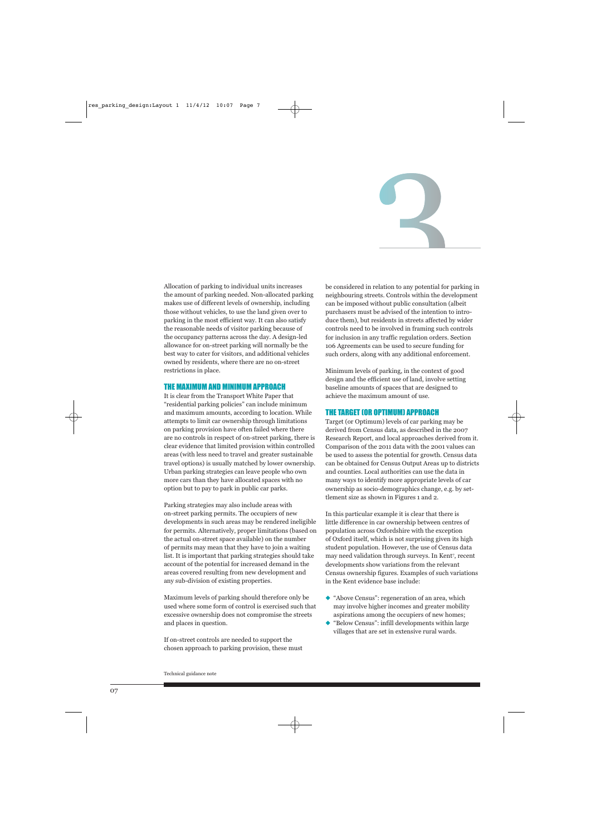

Allocation of parking to individual units increases the amount of parking needed. Non-allocated parking makes use of different levels of ownership, including those without vehicles, to use the land given over to parking in the most efficient way. It can also satisfy the reasonable needs of visitor parking because of the occupancy patterns across the day. A design-led allowance for on-street parking will normally be the best way to cater for visitors, and additional vehicles owned by residents, where there are no on-street restrictions in place.

### THE MAXIMUM AND MINIMUM APPROACH

It is clear from the Transport White Paper that "residential parking policies" can include minimum and maximum amounts, according to location. While attempts to limit car ownership through limitations on parking provision have often failed where there are no controls in respect of on-street parking, there is clear evidence that limited provision within controlled areas (with less need to travel and greater sustainable travel options) is usually matched by lower ownership. Urban parking strategies can leave people who own more cars than they have allocated spaces with no option but to pay to park in public car parks.

Parking strategies may also include areas with on-street parking permits. The occupiers of new developments in such areas may be rendered ineligible for permits. Alternatively, proper limitations (based on the actual on-street space available) on the number of permits may mean that they have to join a waiting list. It is important that parking strategies should take account of the potential for increased demand in the areas covered resulting from new development and any sub-division of existing properties.

Maximum levels of parking should therefore only be used where some form of control is exercised such that excessive ownership does not compromise the streets and places in question.

If on-street controls are needed to support the chosen approach to parking provision, these must be considered in relation to any potential for parking in neighbouring streets. Controls within the development can be imposed without public consultation (albeit purchasers must be advised of the intention to introduce them), but residents in streets affected by wider controls need to be involved in framing such controls for inclusion in any traffic regulation orders. Section 106 Agreements can be used to secure funding for such orders, along with any additional enforcement.

Minimum levels of parking, in the context of good design and the efficient use of land, involve setting baseline amounts of spaces that are designed to achieve the maximum amount of use.

### THE TARGET (OR OPTIMUM) APPROACH

Target (or Optimum) levels of car parking may be derived from Census data, as described in the 2007 Research Report, and local approaches derived from it. Comparison of the 2011 data with the 2001 values can be used to assess the potential for growth. Census data can be obtained for Census Output Areas up to districts and counties. Local authorities can use the data in many ways to identify more appropriate levels of car ownership as socio-demographics change, e.g. by settlement size as shown in Figures 1 and 2.

In this particular example it is clear that there is little difference in car ownership between centres of population across Oxfordshire with the exception of Oxford itself, which is not surprising given its high student population. However, the use of Census data may need validation through surveys. In Kent7 , recent developments show variations from the relevant Census ownership figures. Examples of such variations in the Kent evidence base include:

- ◆ "Above Census": regeneration of an area, which may involve higher incomes and greater mobility aspirations among the occupiers of new homes;
- ◆ "Below Census": infill developments within large villages that are set in extensive rural wards.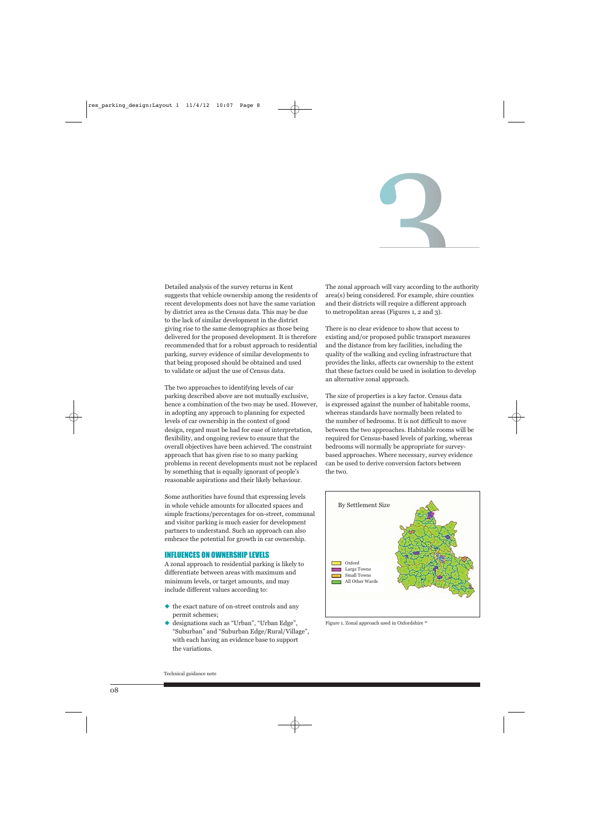

Detailed analysis of the survey returns in Kent suggests that vehicle ownership among the residents of recent developments does not have the same variation by district area as the Census data. This may be due to the lack of similar development in the district giving rise to the same demographics as those being delivered for the proposed development. It is therefore recommended that for a robust approach to residential parking, survey evidence of similar developments to that being proposed should be obtained and used to validate or adjust the use of Census data.

The two approaches to identifying levels of car parking described above are not mutually exclusive, hence a combination of the two may be used. However, in adopting any approach to planning for expected levels of car ownership in the context of good design, regard must be had for ease of interpretation, flexibility, and ongoing review to ensure that the overall objectives have been achieved. The constraint approach that has given rise to so many parking problems in recent developments must not be replaced by something that is equally ignorant of people's reasonable aspirations and their likely behaviour.

Some authorities have found that expressing levels in whole vehicle amounts for allocated spaces and simple fractions/percentages for on-street, communal and visitor parking is much easier for development partners to understand. Such an approach can also embrace the potential for growth in car ownership.

### INFLUENCES ON OWNERSHIP LEVELS

A zonal approach to residential parking is likely to differentiate between areas with maximum and minimum levels, or target amounts, and may include different values according to:

- ◆ the exact nature of on-street controls and any permit schemes;
- ◆ designations such as "Urban", "Urban Edge", "Suburban" and "Suburban Edge/Rural/Village", with each having an evidence base to support the variations.

The zonal approach will vary according to the authority area(s) being considered. For example, shire counties and their districts will require a different approach to metropolitan areas (Figures 1, 2 and 3).

There is no clear evidence to show that access to existing and/or proposed public transport measures and the distance from key facilities, including the quality of the walking and cycling infrastructure that provides the links, affects car ownership to the extent that these factors could be used in isolation to develop an alternative zonal approach.

The size of properties is a key factor. Census data is expressed against the number of habitable rooms, whereas standards have normally been related to the number of bedrooms. It is not difficult to move between the two approaches. Habitable rooms will be required for Census-based levels of parking, whereas bedrooms will normally be appropriate for surveybased approaches. Where necessary, survey evidence can be used to derive conversion factors between the two.



Figure 1. Zonal approach used in Oxfordshire 16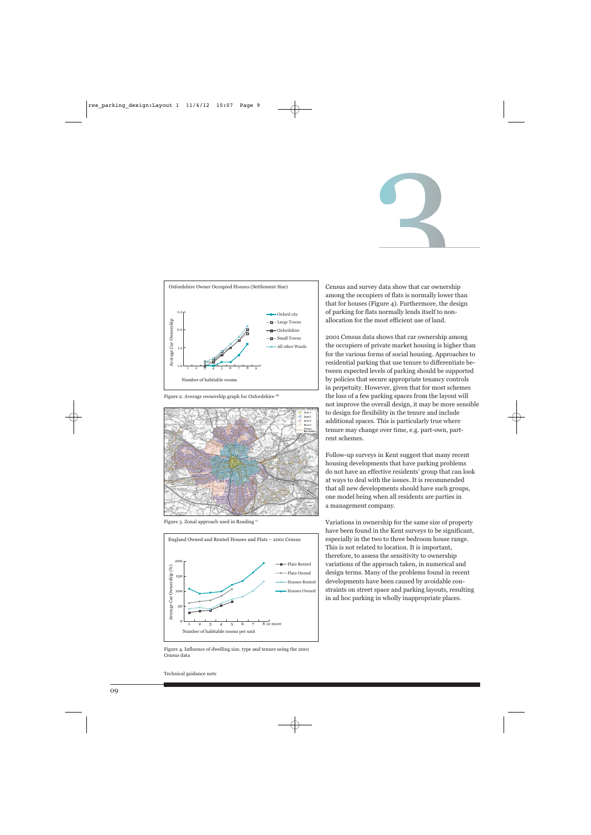



Figure 2. Average ownership graph for Oxfordshire <sup>16</sup>



Figure 3. Zonal approach used in Reading 17



Figure 4. Influence of dwelling size, type and tenure using the 2001 Census data

Census and survey data show that car ownership among the occupiers of flats is normally lower than that for houses (Figure 4). Furthermore, the design of parking for flats normally lends itself to nonallocation for the most efficient use of land.

2001 Census data shows that car ownership among the occupiers of private market housing is higher than for the various forms of social housing. Approaches to residential parking that use tenure to differentiate between expected levels of parking should be supported by policies that secure appropriate tenancy controls in perpetuity. However, given that for most schemes the loss of a few parking spaces from the layout will not improve the overall design, it may be more sensible to design for flexibility in the tenure and include additional spaces. This is particularly true where tenure may change over time, e.g. part-own, partrent schemes.

Follow-up surveys in Kent suggest that many recent housing developments that have parking problems do not have an effective residents' group that can look at ways to deal with the issues. It is recommended that all new developments should have such groups, one model being when all residents are parties in a management company.

Variations in ownership for the same size of property have been found in the Kent surveys to be significant, especially in the two to three bedroom house range. This is not related to location. It is important, therefore, to assess the sensitivity to ownership variations of the approach taken, in numerical and design terms. Many of the problems found in recent developments have been caused by avoidable constraints on street space and parking layouts, resulting in ad hoc parking in wholly inappropriate places.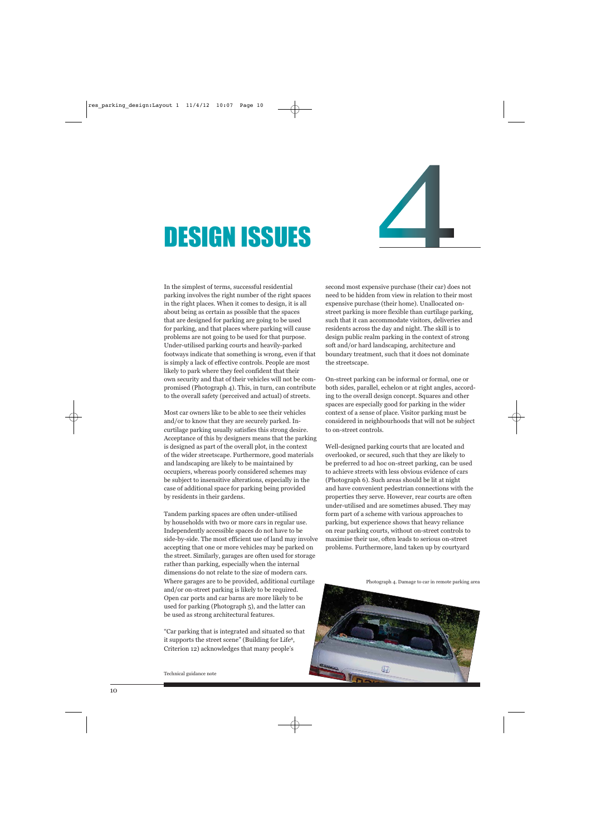# DESIGN ISSUES



In the simplest of terms, successful residential parking involves the right number of the right spaces in the right places. When it comes to design, it is all about being as certain as possible that the spaces that are designed for parking are going to be used for parking, and that places where parking will cause problems are not going to be used for that purpose. Under-utilised parking courts and heavily-parked footways indicate that something is wrong, even if that is simply a lack of effective controls. People are most likely to park where they feel confident that their own security and that of their vehicles will not be compromised (Photograph 4). This, in turn, can contribute to the overall safety (perceived and actual) of streets.

Most car owners like to be able to see their vehicles and/or to know that they are securely parked. Incurtilage parking usually satisfies this strong desire. Acceptance of this by designers means that the parking is designed as part of the overall plot, in the context of the wider streetscape. Furthermore, good materials and landscaping are likely to be maintained by occupiers, whereas poorly considered schemes may be subject to insensitive alterations, especially in the case of additional space for parking being provided by residents in their gardens.

Tandem parking spaces are often under-utilised by households with two or more cars in regular use. Independently accessible spaces do not have to be side-by-side. The most efficient use of land may involve accepting that one or more vehicles may be parked on the street. Similarly, garages are often used for storage rather than parking, especially when the internal dimensions do not relate to the size of modern cars. Where garages are to be provided, additional curtilage and/or on-street parking is likely to be required. Open car ports and car barns are more likely to be used for parking (Photograph 5), and the latter can be used as strong architectural features.

"Car parking that is integrated and situated so that it supports the street scene" (Building for Life<sup>8</sup>, Criterion 12) acknowledges that many people's

Technical guidance note

second most expensive purchase (their car) does not need to be hidden from view in relation to their most expensive purchase (their home). Unallocated onstreet parking is more flexible than curtilage parking, such that it can accommodate visitors, deliveries and residents across the day and night. The skill is to design public realm parking in the context of strong soft and/or hard landscaping, architecture and boundary treatment, such that it does not dominate the streetscape.

On-street parking can be informal or formal, one or both sides, parallel, echelon or at right angles, according to the overall design concept. Squares and other spaces are especially good for parking in the wider context of a sense of place. Visitor parking must be considered in neighbourhoods that will not be subject to on-street controls.

Well-designed parking courts that are located and overlooked, or secured, such that they are likely to be preferred to ad hoc on-street parking, can be used to achieve streets with less obvious evidence of cars (Photograph 6). Such areas should be lit at night and have convenient pedestrian connections with the properties they serve. However, rear courts are often under-utilised and are sometimes abused. They may form part of a scheme with various approaches to parking, but experience shows that heavy reliance on rear parking courts, without on-street controls to maximise their use, often leads to serious on-street problems. Furthermore, land taken up by courtyard

Photograph 4. Damage to car in remote parking area

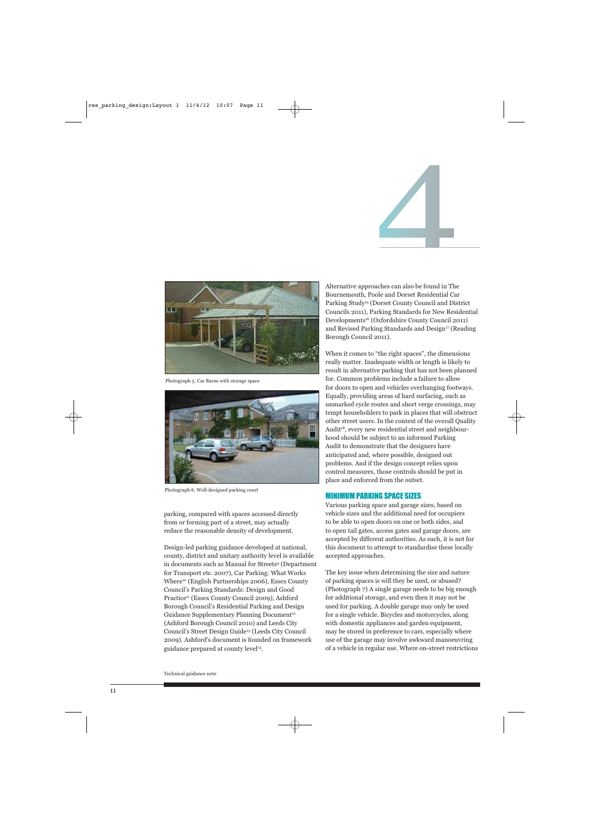

Photograph 5. Car Barns with storage space



Photograph 6. Well-designed parking court

parking, compared with spaces accessed directly from or forming part of a street, may actually reduce the reasonable density of development.

Design-led parking guidance developed at national, county, district and unitary authority level is available in documents such as Manual for Streets<sup>9</sup> (Department for Transport etc. 2007), Car Parking: What Works Where10 (English Partnerships 2006), Essex County Council's Parking Standards: Design and Good Practice<sup>11</sup> (Essex County Council 2009), Ashford Borough Council's Residential Parking and Design Guidance Supplementary Planning Document<sup>12</sup> (Ashford Borough Council 2010) and Leeds City Council's Street Design Guide13 (Leeds City Council 2009). Ashford's document is founded on framework guidance prepared at county level<sup>14</sup>.

Alternative approaches can also be found in The Bournemouth, Poole and Dorset Residential Car Parking Study15 (Dorset County Council and District Councils 2011), Parking Standards for New Residential Developments16 (Oxfordshire County Council 2011) and Revised Parking Standards and Design<sup>17</sup> (Reading Borough Council 2011).

When it comes to "the right spaces", the dimensions really matter. Inadequate width or length is likely to result in alternative parking that has not been planned for. Common problems include a failure to allow for doors to open and vehicles overhanging footways. Equally, providing areas of hard surfacing, such as unmarked cycle routes and short verge crossings, may tempt householders to park in places that will obstruct other street users. In the context of the overall Quality Audit<sup>18</sup>, every new residential street and neighbourhood should be subject to an informed Parking Audit to demonstrate that the designers have anticipated and, where possible, designed out problems. And if the design concept relies upon control measures, those controls should be put in place and enforced from the outset.

### MINIMUM PARKING SPACE SIZES

Various parking space and garage sizes, based on vehicle sizes and the additional need for occupiers to be able to open doors on one or both sides, and to open tail gates, access gates and garage doors, are accepted by different authorities. As such, it is not for this document to attempt to standardise these locally accepted approaches.

The key issue when determining the size and nature of parking spaces is will they be used, or abused? (Photograph 7) A single garage needs to be big enough for additional storage, and even then it may not be used for parking. A double garage may only be used for a single vehicle. Bicycles and motorcycles, along with domestic appliances and garden equipment, may be stored in preference to cars, especially where use of the garage may involve awkward manoeuvring of a vehicle in regular use. Where on-street restrictions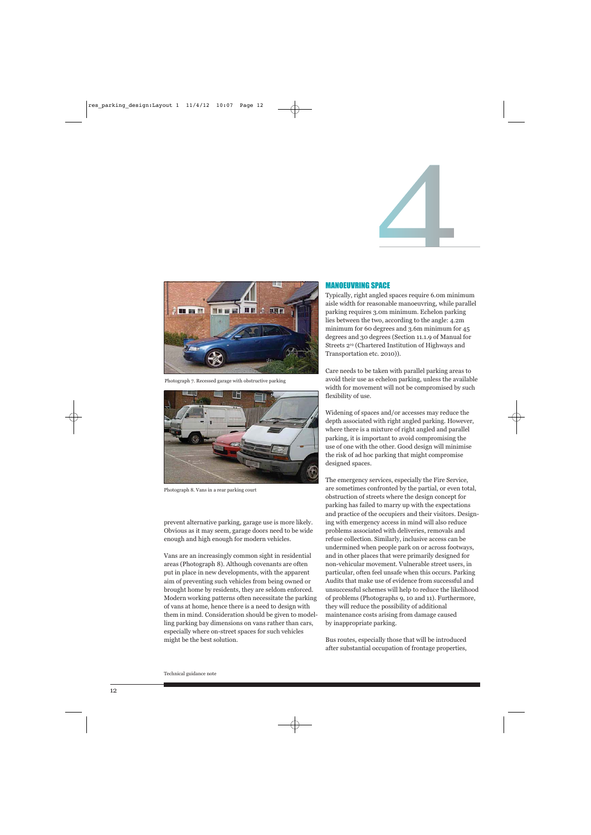



Photograph 7. Recessed garage with obstructive parking



Photograph 8. Vans in a rear parking court

prevent alternative parking, garage use is more likely. Obvious as it may seem, garage doors need to be wide enough and high enough for modern vehicles.

Vans are an increasingly common sight in residential areas (Photograph 8). Although covenants are often put in place in new developments, with the apparent aim of preventing such vehicles from being owned or brought home by residents, they are seldom enforced. Modern working patterns often necessitate the parking of vans at home, hence there is a need to design with them in mind. Consideration should be given to modelling parking bay dimensions on vans rather than cars, especially where on-street spaces for such vehicles might be the best solution.

### MANOEUVRING SPACE

Typically, right angled spaces require 6.0m minimum aisle width for reasonable manoeuvring, while parallel parking requires 3.0m minimum. Echelon parking lies between the two, according to the angle: 4.2m minimum for 60 degrees and 3.6m minimum for 45 degrees and 30 degrees (Section 11.1.9 of Manual for Streets 219 (Chartered Institution of Highways and Transportation etc. 2010)).

Care needs to be taken with parallel parking areas to avoid their use as echelon parking, unless the available width for movement will not be compromised by such flexibility of use.

Widening of spaces and/or accesses may reduce the depth associated with right angled parking. However, where there is a mixture of right angled and parallel parking, it is important to avoid compromising the use of one with the other. Good design will minimise the risk of ad hoc parking that might compromise designed spaces.

The emergency services, especially the Fire Service, are sometimes confronted by the partial, or even total, obstruction of streets where the design concept for parking has failed to marry up with the expectations and practice of the occupiers and their visitors. Designing with emergency access in mind will also reduce problems associated with deliveries, removals and refuse collection. Similarly, inclusive access can be undermined when people park on or across footways, and in other places that were primarily designed for non-vehicular movement. Vulnerable street users, in particular, often feel unsafe when this occurs. Parking Audits that make use of evidence from successful and unsuccessful schemes will help to reduce the likelihood of problems (Photographs 9, 10 and 11). Furthermore, they will reduce the possibility of additional maintenance costs arising from damage caused by inappropriate parking.

Bus routes, especially those that will be introduced after substantial occupation of frontage properties,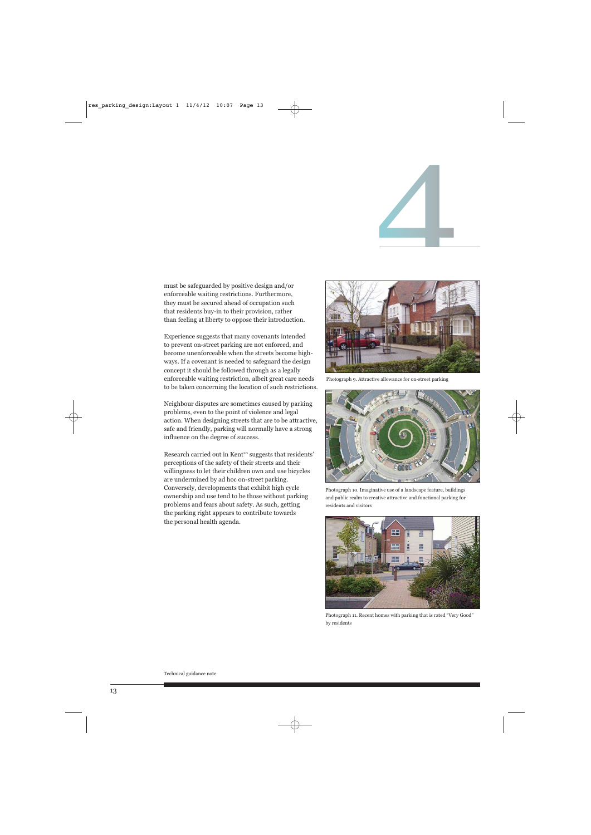must be safeguarded by positive design and/or enforceable waiting restrictions. Furthermore, they must be secured ahead of occupation such that residents buy-in to their provision, rather than feeling at liberty to oppose their introduction.

Experience suggests that many covenants intended to prevent on-street parking are not enforced, and become unenforceable when the streets become highways. If a covenant is needed to safeguard the design concept it should be followed through as a legally enforceable waiting restriction, albeit great care needs to be taken concerning the location of such restrictions.

Neighbour disputes are sometimes caused by parking problems, even to the point of violence and legal action. When designing streets that are to be attractive, safe and friendly, parking will normally have a strong influence on the degree of success.

Research carried out in Kent<sup>20</sup> suggests that residents' perceptions of the safety of their streets and their willingness to let their children own and use bicycles are undermined by ad hoc on-street parking. Conversely, developments that exhibit high cycle ownership and use tend to be those without parking problems and fears about safety. As such, getting the parking right appears to contribute towards the personal health agenda.



Photograph 9. Attractive allowance for on-street parking



Photograph 10. Imaginative use of a landscape feature, buildings and public realm to creative attractive and functional parking for residents and visitors



Photograph 11. Recent homes with parking that is rated "Very Good" by residents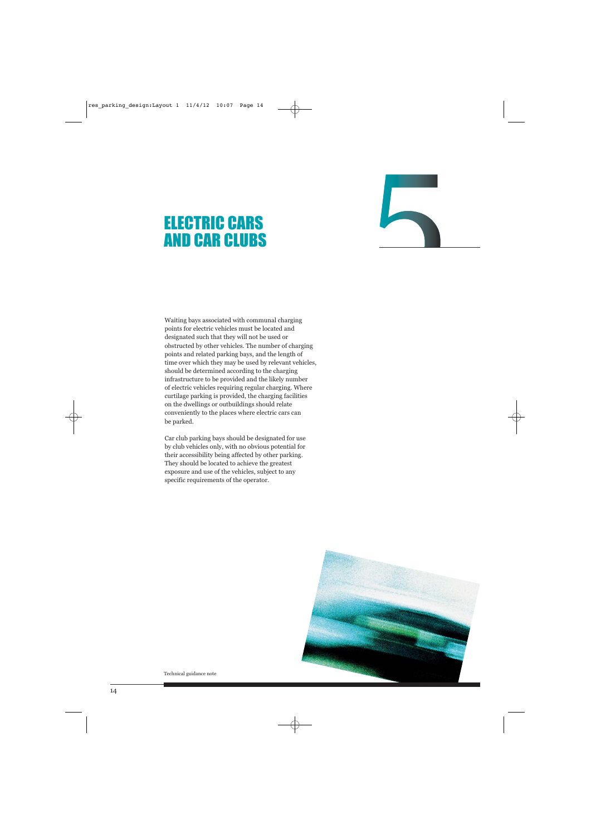# ELECTRIC CARS AND CAR CLUBS

Waiting bays associated with communal charging points for electric vehicles must be located and designated such that they will not be used or obstructed by other vehicles. The number of charging points and related parking bays, and the length of time over which they may be used by relevant vehicles, should be determined according to the charging infrastructure to be provided and the likely number of electric vehicles requiring regular charging. Where curtilage parking is provided, the charging facilities on the dwellings or outbuildings should relate conveniently to the places where electric cars can be parked.

Car club parking bays should be designated for use by club vehicles only, with no obvious potential for their accessibility being affected by other parking. They should be located to achieve the greatest exposure and use of the vehicles, subject to any specific requirements of the operator.

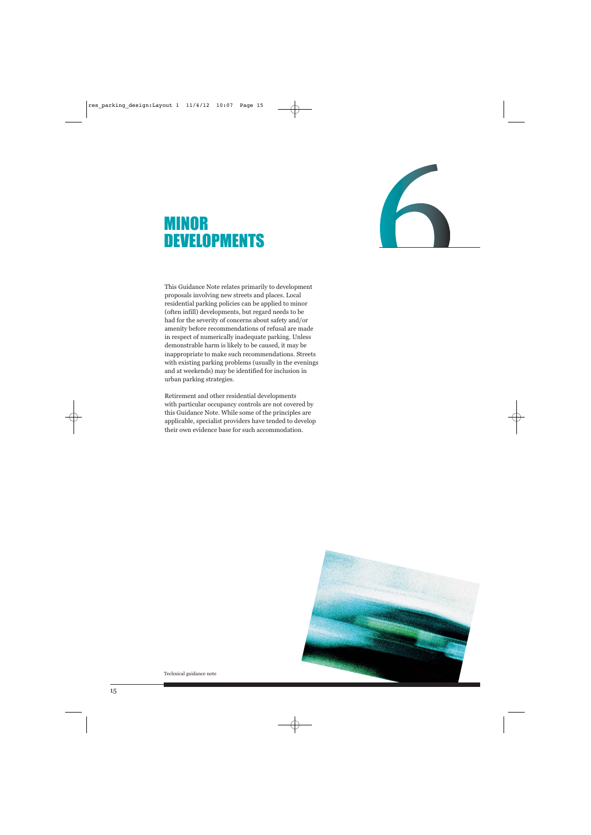# MINOR **DEVELOPMENTS**



This Guidance Note relates primarily to development proposals involving new streets and places. Local residential parking policies can be applied to minor (often infill) developments, but regard needs to be had for the severity of concerns about safety and/or amenity before recommendations of refusal are made in respect of numerically inadequate parking. Unless demonstrable harm is likely to be caused, it may be inappropriate to make such recommendations. Streets with existing parking problems (usually in the evenings and at weekends) may be identified for inclusion in urban parking strategies.

Retirement and other residential developments with particular occupancy controls are not covered by this Guidance Note. While some of the principles are applicable, specialist providers have tended to develop their own evidence base for such accommodation.

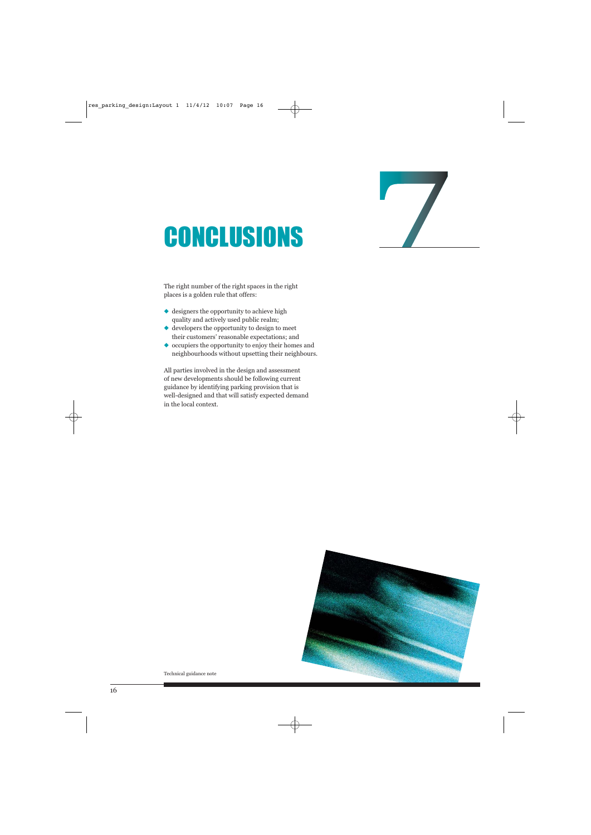# **CONCLUSIONS**

The right number of the right spaces in the right places is a golden rule that offers:

- ◆ designers the opportunity to achieve high quality and actively used public realm;
- ◆ developers the opportunity to design to meet their customers' reasonable expectations; and
- ◆ occupiers the opportunity to enjoy their homes and neighbourhoods without upsetting their neighbours.

All parties involved in the design and assessment of new developments should be following current guidance by identifying parking provision that is well-designed and that will satisfy expected demand in the local context.

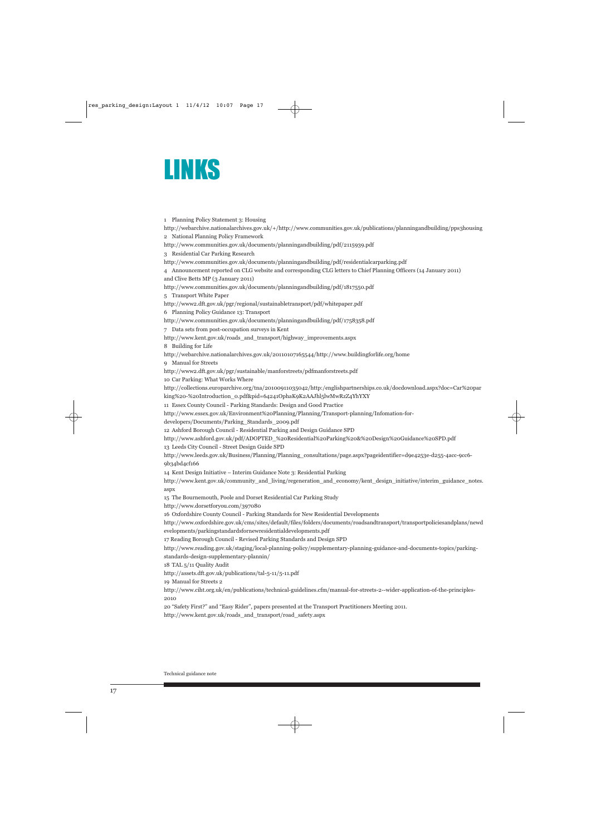

1 Planning Policy Statement 3: Housing http://webarchive.nationalarchives.gov.uk/+/http://www.communities.gov.uk/publications/planningandbuilding/pps3housing 2 National Planning Policy Framework http://www.communities.gov.uk/documents/planningandbuilding/pdf/2115939.pdf 3 Residential Car Parking Research http://www.communities.gov.uk/documents/planningandbuilding/pdf/residentialcarparking.pdf 4 Announcement reported on CLG website and corresponding CLG letters to Chief Planning Officers (14 January 2011) and Clive Betts MP (3 January 2011) http://www.communities.gov.uk/documents/planningandbuilding/pdf/1817550.pdf 5 Transport White Paper http://www2.dft.gov.uk/pgr/regional/sustainabletransport/pdf/whitepaper.pdf 6 Planning Policy Guidance 13: Transport http://www.communities.gov.uk/documents/planningandbuilding/pdf/1758358.pdf 7 Data sets from post-occupation surveys in Kent http://www.kent.gov.uk/roads\_and\_transport/highway\_improvements.aspx 8 Building for Life http://webarchive.nationalarchives.gov.uk/20110107165544/http://www.buildingforlife.org/home 9 Manual for Streets http://www2.dft.gov.uk/pgr/sustainable/manforstreets/pdfmanforstreets.pdf 10 Car Parking: What Works Where http://collections.europarchive.org/tna/20100911035042/http:/englishpartnerships.co.uk/docdownload.aspx?doc=Car%20par king%20-%20Introduction\_0.pdf&pid=64241OphaK9K2AAJhl5lwMwRzZ4YhYXY 11 Essex County Council - Parking Standards: Design and Good Practice http://www.essex.gov.uk/Environment%20Planning/Planning/Transport-planning/Infomation-fordevelopers/Documents/Parking\_Standards\_2009.pdf 12 Ashford Borough Council - Residential Parking and Design Guidance SPD http://www.ashford.gov.uk/pdf/ADOPTED\_%20Residential%20Parking%20&%20Design%20Guidance%20SPD.pdf 13 Leeds City Council - Street Design Guide SPD http://www.leeds.gov.uk/Business/Planning/Planning\_consultations/page.aspx?pageidentifier=d9e4253e-d255-4acc-9cc6- 9b34bd4cf166 14 Kent Design Initiative – Interim Guidance Note 3: Residential Parking http://www.kent.gov.uk/community\_and\_living/regeneration\_and\_economy/kent\_design\_initiative/interim\_guidance\_notes. aspx 15 The Bournemouth, Poole and Dorset Residential Car Parking Study http://www.dorsetforyou.com/397080 16 Oxfordshire County Council - Parking Standards for New Residential Developments http://www.oxfordshire.gov.uk/cms/sites/default/files/folders/documents/roadsandtransport/transportpoliciesandplans/newd evelopments/parkingstandardsfornewresidentialdevelopments.pdf 17 Reading Borough Council - Revised Parking Standards and Design SPD http://www.reading.gov.uk/staging/local-planning-policy/supplementary-planning-guidance-and-documents-topics/parkingstandards-design-supplementary-plannin/ 18 TAL 5/11 Quality Audit http://assets.dft.gov.uk/publications/tal-5-11/5-11.pdf 19 Manual for Streets 2 http://www.ciht.org.uk/en/publications/technical-guidelines.cfm/manual-for-streets-2--wider-application-of-the-principles-2010 20 "Safety First?" and "Easy Rider", papers presented at the Transport Practitioners Meeting 2011.